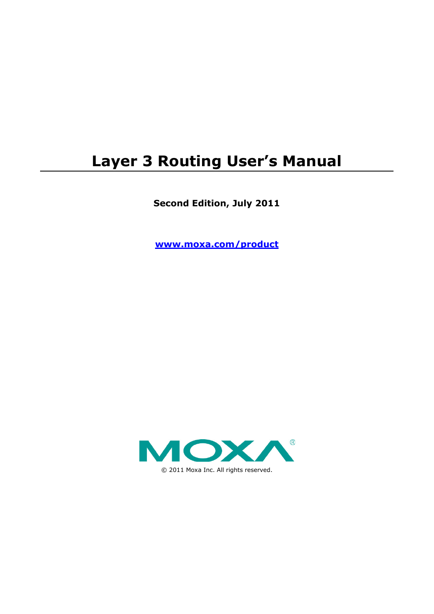# **Layer 3 Routing User's Manual**

**Second Edition, July 2011**

**www.moxa.com/product**

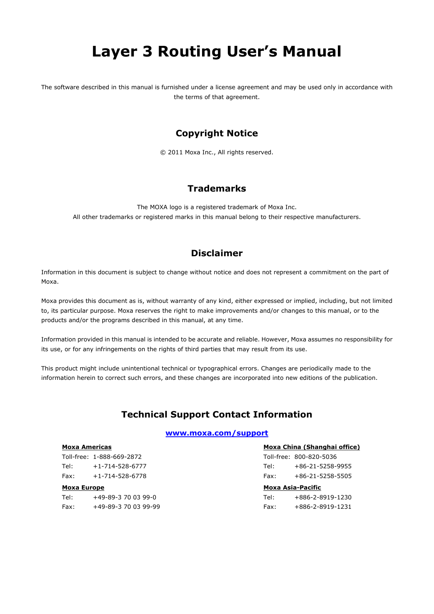# **Layer 3 Routing User's Manual**

The software described in this manual is furnished under a license agreement and may be used only in accordance with the terms of that agreement.

### **Copyright Notice**

© 2011 Moxa Inc., All rights reserved.

### **Trademarks**

The MOXA logo is a registered trademark of Moxa Inc. All other trademarks or registered marks in this manual belong to their respective manufacturers.

### **Disclaimer**

Information in this document is subject to change without notice and does not represent a commitment on the part of Moxa.

Moxa provides this document as is, without warranty of any kind, either expressed or implied, including, but not limited to, its particular purpose. Moxa reserves the right to make improvements and/or changes to this manual, or to the products and/or the programs described in this manual, at any time.

Information provided in this manual is intended to be accurate and reliable. However, Moxa assumes no responsibility for its use, or for any infringements on the rights of third parties that may result from its use.

This product might include unintentional technical or typographical errors. Changes are periodically made to the information herein to correct such errors, and these changes are incorporated into new editions of the publication.

### **Technical Support Contact Information**

### **www.moxa.com/support**

#### **Moxa Americas**

Toll-free: 1-888-669-2872 Tel: +1-714-528-6777 Fax: +1-714-528-6778

### **Moxa Europe**

Tel: +49-89-3 70 03 99-0 Fax: +49-89-3 70 03 99-99

### **Moxa China (Shanghai office)**

Toll-free: 800-820-5036 Tel: +86-21-5258-9955 Fax: +86-21-5258-5505

#### **Moxa Asia-Pacific**

| Tel: | +886-2-8919-1230 |
|------|------------------|
| Fax: | +886-2-8919-1231 |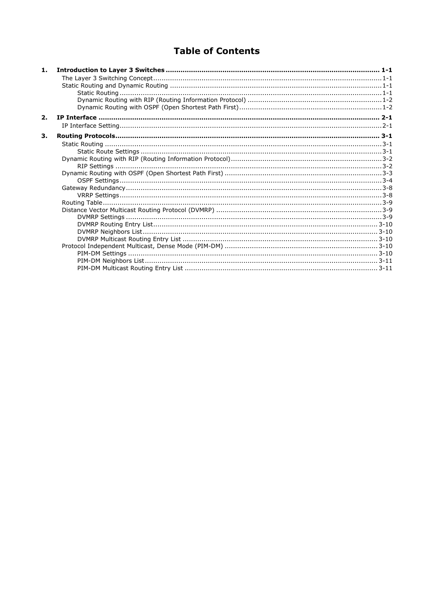### **Table of Contents**

| 1.               |  |
|------------------|--|
|                  |  |
|                  |  |
|                  |  |
|                  |  |
|                  |  |
| $\overline{2}$ . |  |
|                  |  |
| 3.               |  |
|                  |  |
|                  |  |
|                  |  |
|                  |  |
|                  |  |
|                  |  |
|                  |  |
|                  |  |
|                  |  |
|                  |  |
|                  |  |
|                  |  |
|                  |  |
|                  |  |
|                  |  |
|                  |  |
|                  |  |
|                  |  |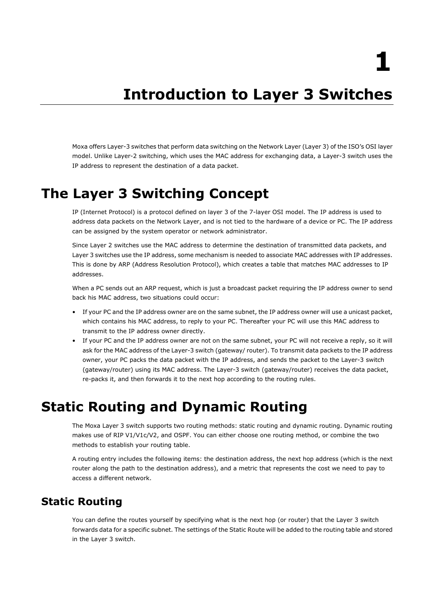**1**

# **1. Introduction to Layer 3 Switches**

<span id="page-3-0"></span>Moxa offers Layer-3 switches that perform data switching on the Network Layer (Layer 3) of the ISO's OSI layer model. Unlike Layer-2 switching, which uses the MAC address for exchanging data, a Layer-3 switch uses the IP address to represent the destination of a data packet.

## <span id="page-3-1"></span>**The Layer 3 Switching Concept**

IP (Internet Protocol) is a protocol defined on layer 3 of the 7-layer OSI model. The IP address is used to address data packets on the Network Layer, and is not tied to the hardware of a device or PC. The IP address can be assigned by the system operator or network administrator.

Since Layer 2 switches use the MAC address to determine the destination of transmitted data packets, and Layer 3 switches use the IP address, some mechanism is needed to associate MAC addresses with IP addresses. This is done by ARP (Address Resolution Protocol), which creates a table that matches MAC addresses to IP addresses.

When a PC sends out an ARP request, which is just a broadcast packet requiring the IP address owner to send back his MAC address, two situations could occur:

- If your PC and the IP address owner are on the same subnet, the IP address owner will use a unicast packet, which contains his MAC address, to reply to your PC. Thereafter your PC will use this MAC address to transmit to the IP address owner directly.
- If your PC and the IP address owner are not on the same subnet, your PC will not receive a reply, so it will ask for the MAC address of the Layer-3 switch (gateway/ router). To transmit data packets to the IP address owner, your PC packs the data packet with the IP address, and sends the packet to the Layer-3 switch (gateway/router) using its MAC address. The Layer-3 switch (gateway/router) receives the data packet, re-packs it, and then forwards it to the next hop according to the routing rules.

# <span id="page-3-2"></span>**Static Routing and Dynamic Routing**

The Moxa Layer 3 switch supports two routing methods: static routing and dynamic routing. Dynamic routing makes use of RIP V1/V1c/V2, and OSPF. You can either choose one routing method, or combine the two methods to establish your routing table.

A routing entry includes the following items: the destination address, the next hop address (which is the next router along the path to the destination address), and a metric that represents the cost we need to pay to access a different network.

## <span id="page-3-3"></span>**Static Routing**

You can define the routes yourself by specifying what is the next hop (or router) that the Layer 3 switch forwards data for a specific subnet. The settings of the Static Route will be added to the routing table and stored in the Layer 3 switch.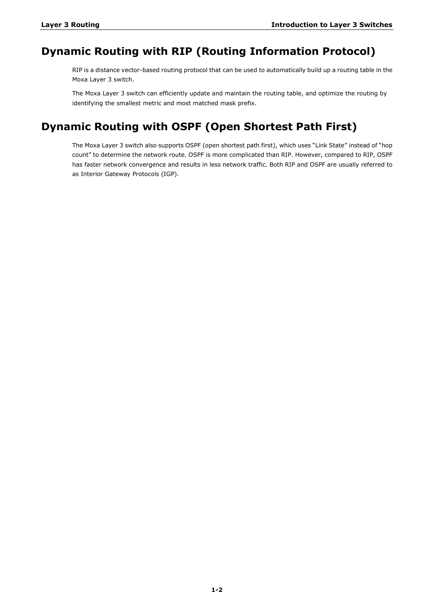### <span id="page-4-0"></span>**Dynamic Routing with RIP (Routing Information Protocol)**

RIP is a distance vector-based routing protocol that can be used to automatically build up a routing table in the Moxa Layer 3 switch.

The Moxa Layer 3 switch can efficiently update and maintain the routing table, and optimize the routing by identifying the smallest metric and most matched mask prefix.

## <span id="page-4-1"></span>**Dynamic Routing with OSPF (Open Shortest Path First)**

The Moxa Layer 3 switch also supports OSPF (open shortest path first), which uses "Link State" instead of "hop count" to determine the network route. OSPF is more complicated than RIP. However, compared to RIP, OSPF has faster network convergence and results in less network traffic. Both RIP and OSPF are usually referred to as Interior Gateway Protocols (IGP).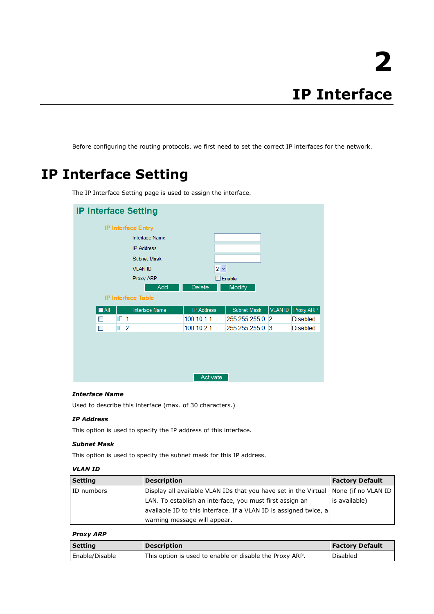<span id="page-5-0"></span>Before configuring the routing protocols, we first need to set the correct IP interfaces for the network.

# <span id="page-5-1"></span>**IP Interface Setting**

| <b>IP Interface Setting</b>          |                   |                    |                |                 |
|--------------------------------------|-------------------|--------------------|----------------|-----------------|
| <b>IP Interface Entry</b>            |                   |                    |                |                 |
| Interface Name                       |                   |                    |                |                 |
| <b>IP Address</b>                    |                   |                    |                |                 |
| Subnet Mask                          |                   |                    |                |                 |
| <b>VLAN ID</b>                       | $2 \vee$          |                    |                |                 |
| Proxy ARP                            |                   | $\Box$ Enable      |                |                 |
| Add                                  | <b>Delete</b>     | <b>Modify</b>      |                |                 |
| <b>IP Interface Table</b>            |                   |                    |                |                 |
| Interface Name<br>$\blacksquare$ All | <b>IP Address</b> | <b>Subnet Mask</b> | VLAN ID        | Proxy ARP       |
| $IF_1$<br>П                          | 100.10.1.1        | 255.255.255.0      | $\overline{2}$ | Disabled        |
| $IF_2$<br>П                          | 100.10.2.1        | 255.255.255.0      | 3              | <b>Disabled</b> |
|                                      | Activate          |                    |                |                 |

The IP Interface Setting page is used to assign the interface.

### *Interface Name*

Used to describe this interface (max. of 30 characters.)

### *IP Address*

This option is used to specify the IP address of this interface.

### *Subnet Mask*

This option is used to specify the subnet mask for this IP address.

### *VLAN ID*

| <b>Setting</b> | <b>Description</b>                                                                     | <b>Factory Default</b> |
|----------------|----------------------------------------------------------------------------------------|------------------------|
| ID numbers     | Display all available VLAN IDs that you have set in the Virtual<br>None (if no VLAN ID |                        |
|                | LAN. To establish an interface, you must first assign an                               | is available)          |
|                | available ID to this interface. If a VLAN ID is assigned twice, a                      |                        |
|                | warning message will appear.                                                           |                        |

#### *Proxy ARP*

| <b>Setting</b> | <b>Description</b>                                      | <b>Factory Default</b> |
|----------------|---------------------------------------------------------|------------------------|
| Enable/Disable | This option is used to enable or disable the Proxy ARP. | <b>Disabled</b>        |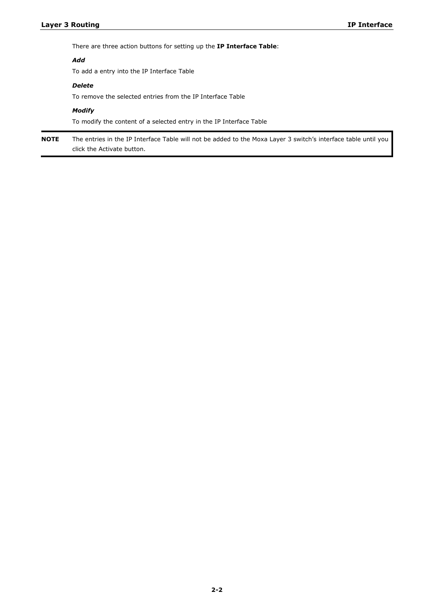There are three action buttons for setting up the **IP Interface Table**:

### *Add*

To add a entry into the IP Interface Table

### *Delete*

To remove the selected entries from the IP Interface Table

#### *Modify*

To modify the content of a selected entry in the IP Interface Table

**NOTE** The entries in the IP Interface Table will not be added to the Moxa Layer 3 switch's interface table until you click the Activate button.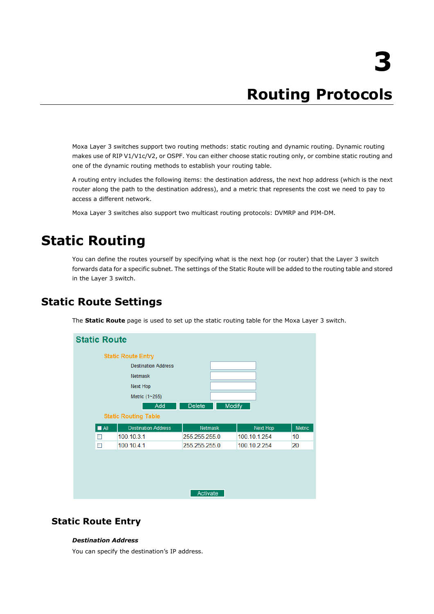# **3. Routing Protocols**

<span id="page-7-0"></span>Moxa Layer 3 switches support two routing methods: static routing and dynamic routing. Dynamic routing makes use of RIP V1/V1c/V2, or OSPF. You can either choose static routing only, or combine static routing and one of the dynamic routing methods to establish your routing table.

A routing entry includes the following items: the destination address, the next hop address (which is the next router along the path to the destination address), and a metric that represents the cost we need to pay to access a different network.

Moxa Layer 3 switches also support two multicast routing protocols: DVMRP and PIM-DM.

# <span id="page-7-1"></span>**Static Routing**

You can define the routes yourself by specifying what is the next hop (or router) that the Layer 3 switch forwards data for a specific subnet. The settings of the Static Route will be added to the routing table and stored in the Layer 3 switch.

### <span id="page-7-2"></span>**Static Route Settings**

The **Static Route** page is used to set up the static routing table for the Moxa Layer 3 switch.



### **Static Route Entry**

#### *Destination Address*

You can specify the destination's IP address.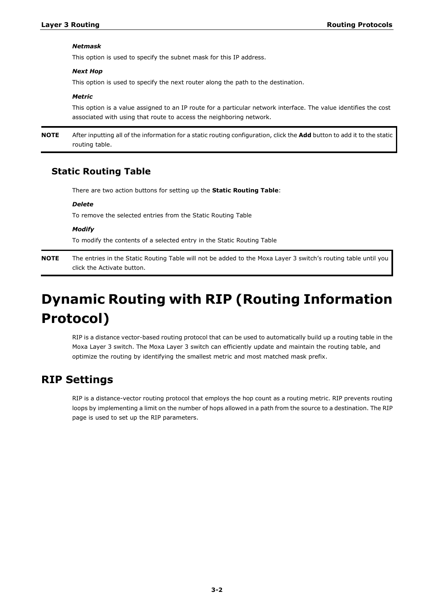#### *Netmask*

This option is used to specify the subnet mask for this IP address.

#### *Next Hop*

This option is used to specify the next router along the path to the destination.

#### *Metric*

This option is a value assigned to an IP route for a particular network interface. The value identifies the cost associated with using that route to access the neighboring network.

**NOTE** After inputting all of the information for a static routing configuration, click the **Add** button to add it to the static routing table.

### **Static Routing Table**

There are two action buttons for setting up the **Static Routing Table**:

### *Delete*

To remove the selected entries from the Static Routing Table

*Modify*

To modify the contents of a selected entry in the Static Routing Table

**NOTE** The entries in the Static Routing Table will not be added to the Moxa Layer 3 switch's routing table until you click the Activate button.

# <span id="page-8-0"></span>**Dynamic Routing with RIP (Routing Information Protocol)**

RIP is a distance vector-based routing protocol that can be used to automatically build up a routing table in the Moxa Layer 3 switch. The Moxa Layer 3 switch can efficiently update and maintain the routing table, and optimize the routing by identifying the smallest metric and most matched mask prefix.

### <span id="page-8-1"></span>**RIP Settings**

RIP is a distance-vector routing protocol that employs the hop count as a routing metric. RIP prevents routing loops by implementing a limit on the number of hops allowed in a path from the source to a destination. The RIP page is used to set up the RIP parameters.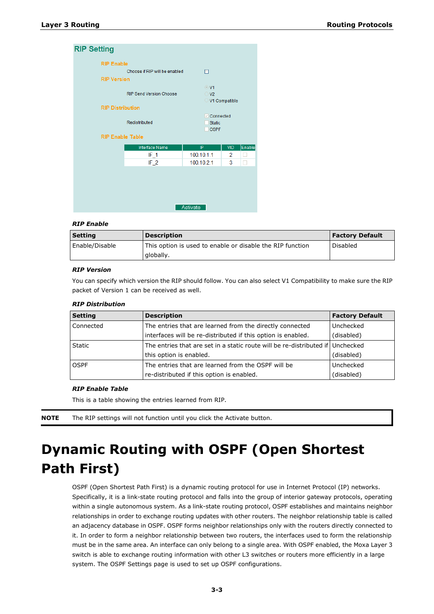### **RIP Setting**

| <b>RIP Enable</b>       |                                |                  |               |        |
|-------------------------|--------------------------------|------------------|---------------|--------|
|                         | Choose if RIP will be enabled  | п                |               |        |
| <b>RIP Version</b>      |                                |                  |               |        |
|                         |                                | $\odot$ V1       |               |        |
|                         | <b>RIP Send Version Choose</b> | $\bigcirc$ V2    |               |        |
|                         |                                |                  | V1 Compatible |        |
| <b>RIP Distribution</b> |                                |                  |               |        |
|                         |                                | $\vee$ Connected |               |        |
|                         | Redistributed                  | <b>Static</b>    |               |        |
| <b>RIP Enable Table</b> |                                | <b>OSPF</b>      |               |        |
|                         |                                |                  |               |        |
|                         | <b>Interface Name</b>          | IP               | <b>VID</b>    | Enable |
|                         |                                |                  |               |        |
|                         | IF 1                           | 100.10.1.1       | 2             | L.     |
|                         | IF $2$                         | 100.10.2.1       | 3             |        |
|                         |                                |                  |               |        |
|                         |                                |                  |               |        |
|                         |                                |                  |               |        |
|                         |                                |                  |               |        |
|                         |                                |                  |               |        |
|                         |                                | Activate         |               |        |

#### *RIP Enable*

| <b>Setting</b> | <b>Description</b>                                        | <b>Factory Default</b> |
|----------------|-----------------------------------------------------------|------------------------|
| Enable/Disable | This option is used to enable or disable the RIP function | Disabled               |
|                | globally.                                                 |                        |

#### *RIP Version*

You can specify which version the RIP should follow. You can also select V1 Compatibility to make sure the RIP packet of Version 1 can be received as well.

#### *RIP Distribution*

| Setting          | <b>Description</b>                                                               | <b>Factory Default</b> |
|------------------|----------------------------------------------------------------------------------|------------------------|
| <b>Connected</b> | The entries that are learned from the directly connected                         | Unchecked              |
|                  | interfaces will be re-distributed if this option is enabled.                     | (disabled)             |
| <b>Static</b>    | The entries that are set in a static route will be re-distributed if   Unchecked |                        |
|                  | this option is enabled.                                                          | (disabled)             |
| <b>OSPF</b>      | The entries that are learned from the OSPF will be                               | Unchecked              |
|                  | re-distributed if this option is enabled.                                        | (disabled)             |

#### *RIP Enable Table*

This is a table showing the entries learned from RIP.

<span id="page-9-0"></span>**NOTE** The RIP settings will not function until you click the Activate button.

# **Dynamic Routing with OSPF (Open Shortest Path First)**

OSPF (Open Shortest Path First) is a dynamic routing protocol for use in Internet Protocol (IP) networks. Specifically, it is a link-state routing protocol and falls into the group of interior gateway protocols, operating within a single autonomous system. As a link-state routing protocol, OSPF establishes and maintains neighbor relationships in order to exchange routing updates with other routers. The neighbor relationship table is called an adjacency database in OSPF. OSPF forms neighbor relationships only with the routers directly connected to it. In order to form a neighbor relationship between two routers, the interfaces used to form the relationship must be in the same area. An interface can only belong to a single area. With OSPF enabled, the Moxa Layer 3 switch is able to exchange routing information with other L3 switches or routers more efficiently in a large system. The OSPF Settings page is used to set up OSPF configurations.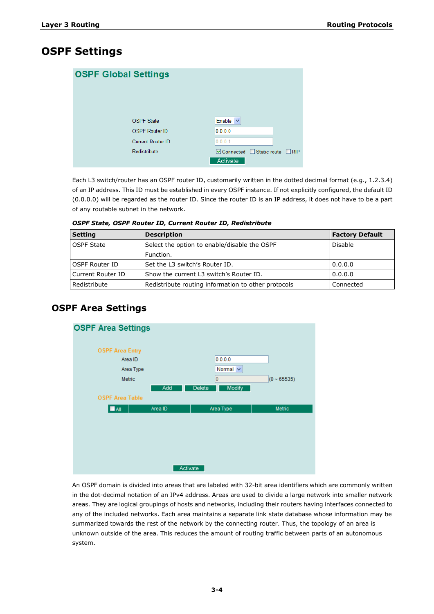### <span id="page-10-0"></span>**OSPF Settings**

| <b>OSPF Global Settings</b> |                                     |
|-----------------------------|-------------------------------------|
| <b>OSPF State</b>           | Enable<br>$\checkmark$              |
| <b>OSPF Router ID</b>       | 0.0.0.0                             |
| <b>Current Router ID</b>    | 0.0.0.1                             |
| Redistribute                | <b>Ø Connected</b> Static route RIP |
|                             | Activate                            |

Each L3 switch/router has an OSPF router ID, customarily written in the dotted decimal format (e.g., 1.2.3.4) of an IP address. This ID must be established in every OSPF instance. If not explicitly configured, the default ID (0.0.0.0) will be regarded as the router ID. Since the router ID is an IP address, it does not have to be a part of any routable subnet in the network.

|  | OSPF State, OSPF Router ID, Current Router ID, Redistribute |  |  |  |
|--|-------------------------------------------------------------|--|--|--|
|--|-------------------------------------------------------------|--|--|--|

| <b>Setting</b>    | <b>Description</b>                                  | <b>Factory Default</b> |
|-------------------|-----------------------------------------------------|------------------------|
| <b>OSPF State</b> | Select the option to enable/disable the OSPF        | Disable                |
|                   | Function.                                           |                        |
| OSPF Router ID    | Set the L3 switch's Router ID.                      | 0.0.0.0                |
| Current Router ID | Show the current L3 switch's Router ID.             | 0.0.0.0                |
| Redistribute      | Redistribute routing information to other protocols | Connected              |

### **OSPF Area Settings**



An OSPF domain is divided into areas that are labeled with 32-bit area identifiers which are commonly written in the dot-decimal notation of an IPv4 address. Areas are used to divide a large network into smaller network areas. They are logical groupings of hosts and networks, including their routers having interfaces connected to any of the included networks. Each area maintains a separate link state database whose information may be summarized towards the rest of the network by the connecting router. Thus, the topology of an area is unknown outside of the area. This reduces the amount of routing traffic between parts of an autonomous system.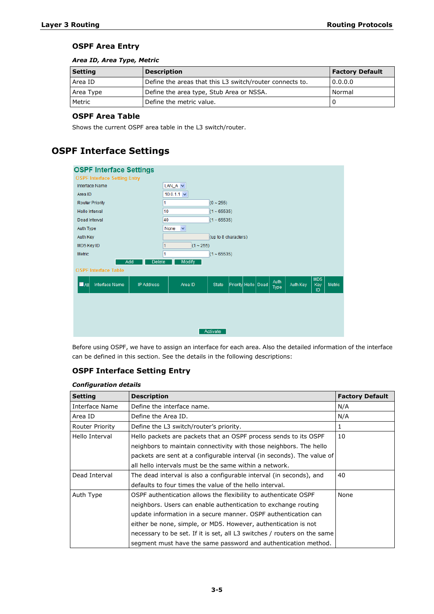### **OSPF Area Entry**

### *Area ID, Area Type, Metric*

| <b>Setting</b> | <b>Description</b>                                       | <b>Factory Default</b> |
|----------------|----------------------------------------------------------|------------------------|
| Area ID        | Define the areas that this L3 switch/router connects to. | 0.0.0.0                |
| Area Type      | Define the area type, Stub Area or NSSA.                 | Normal                 |
| Metric         | Define the metric value.                                 |                        |

### **OSPF Area Table**

Shows the current OSPF area table in the L3 switch/router.

## **OSPF Interface Settings**

| 10.0.1.1 $\vee$ |  |  |  |  |  |  |  |
|-----------------|--|--|--|--|--|--|--|
|                 |  |  |  |  |  |  |  |
|                 |  |  |  |  |  |  |  |
|                 |  |  |  |  |  |  |  |
|                 |  |  |  |  |  |  |  |
|                 |  |  |  |  |  |  |  |
|                 |  |  |  |  |  |  |  |
|                 |  |  |  |  |  |  |  |
|                 |  |  |  |  |  |  |  |
|                 |  |  |  |  |  |  |  |
|                 |  |  |  |  |  |  |  |
| <b>Metric</b>   |  |  |  |  |  |  |  |
|                 |  |  |  |  |  |  |  |
|                 |  |  |  |  |  |  |  |
|                 |  |  |  |  |  |  |  |
|                 |  |  |  |  |  |  |  |
|                 |  |  |  |  |  |  |  |
|                 |  |  |  |  |  |  |  |

Before using OSPF, we have to assign an interface for each area. Also the detailed information of the interface can be defined in this section. See the details in the following descriptions:

### **OSPF Interface Setting Entry**

### *Configuration details*

| <b>Setting</b>  | <b>Description</b>                                                       | <b>Factory Default</b> |
|-----------------|--------------------------------------------------------------------------|------------------------|
| Interface Name  | Define the interface name.                                               | N/A                    |
| Area ID         | Define the Area ID.                                                      | N/A                    |
| Router Priority | Define the L3 switch/router's priority.                                  | 1                      |
| Hello Interval  | Hello packets are packets that an OSPF process sends to its OSPF         | 10                     |
|                 | neighbors to maintain connectivity with those neighbors. The hello       |                        |
|                 | packets are sent at a configurable interval (in seconds). The value of   |                        |
|                 | all hello intervals must be the same within a network.                   |                        |
| Dead Interval   | The dead interval is also a configurable interval (in seconds), and      | 40                     |
|                 | defaults to four times the value of the hello interval.                  |                        |
| Auth Type       | OSPF authentication allows the flexibility to authenticate OSPF          | None                   |
|                 | neighbors. Users can enable authentication to exchange routing           |                        |
|                 | update information in a secure manner. OSPF authentication can           |                        |
|                 | either be none, simple, or MD5. However, authentication is not           |                        |
|                 | necessary to be set. If it is set, all L3 switches / routers on the same |                        |
|                 | segment must have the same password and authentication method.           |                        |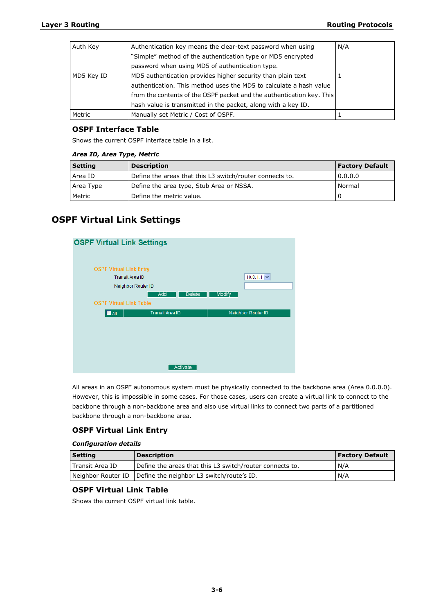| Auth Key   | Authentication key means the clear-text password when using           | N/A |
|------------|-----------------------------------------------------------------------|-----|
|            | "Simple" method of the authentication type or MD5 encrypted           |     |
|            | password when using MD5 of authentication type.                       |     |
| MD5 Key ID | MD5 authentication provides higher security than plain text           |     |
|            | authentication. This method uses the MD5 to calculate a hash value    |     |
|            | from the contents of the OSPF packet and the authentication key. This |     |
|            | hash value is transmitted in the packet, along with a key ID.         |     |
| Metric     | Manually set Metric / Cost of OSPF.                                   |     |

### **OSPF Interface Table**

Shows the current OSPF interface table in a list.

#### *Area ID, Area Type, Metric*

| Setting   | <b>Description</b>                                       | <b>Factory Default</b> |
|-----------|----------------------------------------------------------|------------------------|
| Area ID   | Define the areas that this L3 switch/router connects to. | 0.0.0.0                |
| Area Type | Define the area type, Stub Area or NSSA.                 | Normal                 |
| Metric    | Define the metric value.                                 |                        |

### **OSPF Virtual Link Settings**



All areas in an OSPF autonomous system must be physically connected to the backbone area (Area 0.0.0.0). However, this is impossible in some cases. For those cases, users can create a virtual link to connect to the backbone through a non-backbone area and also use virtual links to connect two parts of a partitioned backbone through a non-backbone area.

### **OSPF Virtual Link Entry**

### *Configuration details*

| <b>Setting</b>    | <b>Description</b>                                             | <b>Factory Default</b> |
|-------------------|----------------------------------------------------------------|------------------------|
| l Transit Area ID | Define the areas that this L3 switch/router connects to.       | N/A                    |
|                   | Neighbor Router ID   Define the neighbor L3 switch/route's ID. | N/A                    |

### **OSPF Virtual Link Table**

Shows the current OSPF virtual link table.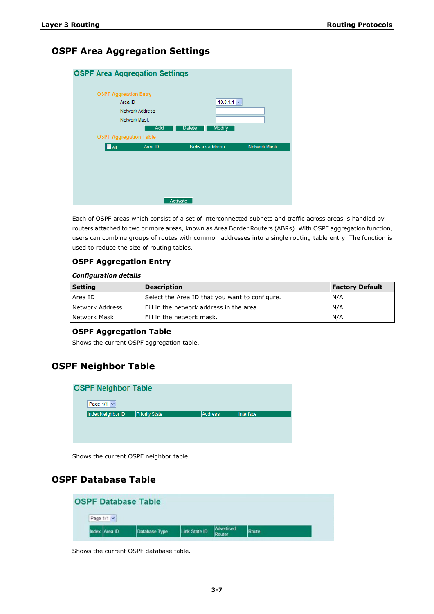### **OSPF Area Aggregation Settings**

| <b>OSPF Area Aggregation Settings</b> |                        |                                |                     |
|---------------------------------------|------------------------|--------------------------------|---------------------|
|                                       |                        |                                |                     |
|                                       |                        |                                |                     |
| <b>OSPF Aggreation Entry</b>          |                        |                                |                     |
| Area ID                               |                        | $10.0.1.1 \times$              |                     |
|                                       | <b>Network Address</b> |                                |                     |
|                                       | Network Mask           |                                |                     |
|                                       | Add                    | <b>Modify</b><br><b>Delete</b> |                     |
| <b>OSPF Aggregation Table</b>         |                        |                                |                     |
| $\blacksquare$ All                    | Area ID                | <b>Network Address</b>         | <b>Network Mask</b> |
|                                       |                        |                                |                     |
|                                       |                        |                                |                     |
|                                       |                        |                                |                     |
|                                       |                        |                                |                     |
|                                       |                        |                                |                     |
|                                       |                        |                                |                     |
|                                       |                        |                                |                     |
|                                       | Activate               |                                |                     |
|                                       |                        |                                |                     |

Each of OSPF areas which consist of a set of interconnected subnets and traffic across areas is handled by routers attached to two or more areas, known as Area Border Routers (ABRs). With OSPF aggregation function, users can combine groups of routes with common addresses into a single routing table entry. The function is used to reduce the size of routing tables.

### **OSPF Aggregation Entry**

#### *Configuration details*

| <b>Setting</b>  | <b>Description</b>                             | <b>Factory Default</b> |
|-----------------|------------------------------------------------|------------------------|
| Area ID         | Select the Area ID that you want to configure. | N/A                    |
| Network Address | I Fill in the network address in the area.     | N/A                    |
| Network Mask    | l Fill in the network mask.                    | N/A                    |

### **OSPF Aggregation Table**

Shows the current OSPF aggregation table.

### **OSPF Neighbor Table**

| <b>OSPF Neighbor Table</b> |                |         |           |
|----------------------------|----------------|---------|-----------|
| Page 1/1 v                 |                |         |           |
| Index Neighbor ID          | Priority State | Address | Interface |
|                            |                |         |           |
|                            |                |         |           |
|                            |                |         |           |
|                            |                |         |           |

Shows the current OSPF neighbor table.

### **OSPF Database Table**

| <b>OSPF Database Table</b> |                   |               |               |                      |       |  |
|----------------------------|-------------------|---------------|---------------|----------------------|-------|--|
|                            | Page $1/1$ $\vee$ |               |               |                      |       |  |
|                            | Index Area ID     | Database Type | Link State ID | Advertised<br>Router | Route |  |

Shows the current OSPF database table.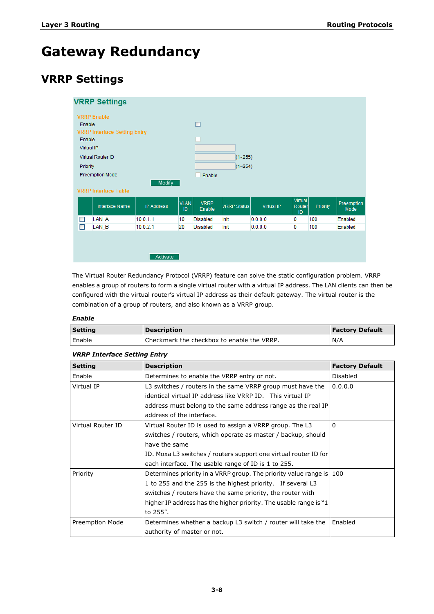# <span id="page-14-0"></span>**Gateway Redundancy**

## <span id="page-14-1"></span>**VRRP Settings**

|                | <b>VRRP Settings</b>                |                   |                   |                       |             |            |                                |          |                    |
|----------------|-------------------------------------|-------------------|-------------------|-----------------------|-------------|------------|--------------------------------|----------|--------------------|
|                | <b>VRRP Enable</b>                  |                   |                   |                       |             |            |                                |          |                    |
| Enable         |                                     |                   |                   | П                     |             |            |                                |          |                    |
|                | <b>VRRP Interface Setting Entry</b> |                   |                   |                       |             |            |                                |          |                    |
| Enable         |                                     |                   |                   |                       |             |            |                                |          |                    |
|                | Virtual IP                          |                   |                   |                       |             |            |                                |          |                    |
|                | Virtual Router ID                   |                   |                   |                       | $(1 - 255)$ |            |                                |          |                    |
| Priority       |                                     |                   |                   |                       | $(1 - 254)$ |            |                                |          |                    |
|                | <b>Preemption Mode</b>              |                   |                   | Enable                |             |            |                                |          |                    |
|                | <b>VRRP Interface Table</b>         | Modify            |                   |                       |             |            |                                |          |                    |
|                | Interface Name                      | <b>IP Address</b> | <b>VLAN</b><br>ID | <b>VRRP</b><br>Enable | VRRP Status | Virtual IP | <b>Virtual</b><br>Router<br>ID | Priority | Preemption<br>Mode |
|                | LAN A                               | 10.0.1.1          | 10                | <b>Disabled</b>       | Init        | 0.0.0.0    | 0                              | 100      | Enabled            |
| $\mathbb{R}^n$ | LAN B                               | 10.0.2.1          | 20                | <b>Disabled</b>       | Init        | 0.0.0.0    | 0                              | 100      | Enabled            |
|                |                                     | Activate          |                   |                       |             |            |                                |          |                    |

The Virtual Router Redundancy Protocol (VRRP) feature can solve the static configuration problem. VRRP enables a group of routers to form a single virtual router with a virtual IP address. The LAN clients can then be configured with the virtual router's virtual IP address as their default gateway. The virtual router is the combination of a group of routers, and also known as a VRRP group.

### *Enable*

| <b>Setting</b> | <b>Description</b>                         | <b>Factory Default</b> |
|----------------|--------------------------------------------|------------------------|
| Enable         | Checkmark the checkbox to enable the VRRP. | N/A                    |

### *VRRP Interface Setting Entry*

| <b>Setting</b>    | <b>Description</b>                                                   | <b>Factory Default</b> |
|-------------------|----------------------------------------------------------------------|------------------------|
| Enable            | Determines to enable the VRRP entry or not.                          | <b>Disabled</b>        |
| Virtual IP        | L3 switches / routers in the same VRRP group must have the           | 0.0.0.0                |
|                   | identical virtual IP address like VRRP ID. This virtual IP           |                        |
|                   | address must belong to the same address range as the real IP         |                        |
|                   | address of the interface.                                            |                        |
| Virtual Router ID | Virtual Router ID is used to assign a VRRP group. The L3             | $\Omega$               |
|                   | switches / routers, which operate as master / backup, should         |                        |
|                   | have the same                                                        |                        |
|                   | ID. Moxa L3 switches / routers support one virtual router ID for     |                        |
|                   | each interface. The usable range of ID is 1 to 255.                  |                        |
| Priority          | Determines priority in a VRRP group. The priority value range is 100 |                        |
|                   | 1 to 255 and the 255 is the highest priority. If several L3          |                        |
|                   | switches / routers have the same priority, the router with           |                        |
|                   | higher IP address has the higher priority. The usable range is "1    |                        |
|                   | to 255".                                                             |                        |
| Preemption Mode   | Determines whether a backup L3 switch / router will take the         | Enabled                |
|                   | authority of master or not.                                          |                        |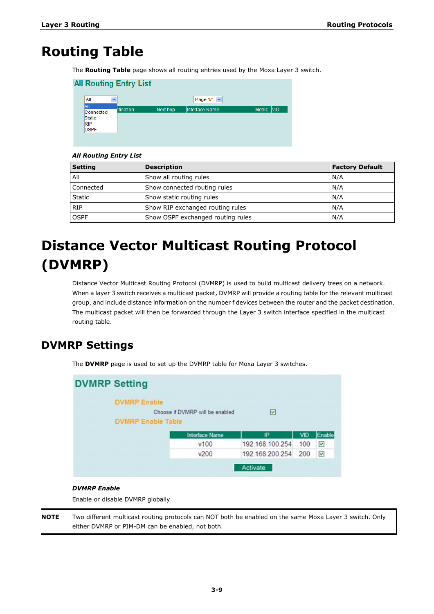# <span id="page-15-0"></span>**Routing Table**

The **Routing Table** page shows all routing entries used by the Moxa Layer 3 switch.

| <b>All Routing Entry List</b>                    |           |          |                 |            |
|--------------------------------------------------|-----------|----------|-----------------|------------|
| All<br>v                                         |           |          | Page 1/1 $\vee$ |            |
| ΑII<br>Connected<br>Static<br>RIP<br><b>OSPF</b> | stination | Next hop | Interface Name  | Metric VID |

### *All Routing Entry List*

| <b>Setting</b> | <b>Description</b>                | <b>Factory Default</b> |
|----------------|-----------------------------------|------------------------|
| All            | Show all routing rules            | N/A                    |
| Connected      | Show connected routing rules      | N/A                    |
| Static         | Show static routing rules         | N/A                    |
| <b>RIP</b>     | Show RIP exchanged routing rules  | N/A                    |
| <b>OSPF</b>    | Show OSPF exchanged routing rules | N/A                    |

# <span id="page-15-1"></span>**Distance Vector Multicast Routing Protocol (DVMRP)**

Distance Vector Multicast Routing Protocol (DVMRP) is used to build multicast delivery trees on a network. When a layer 3 switch receives a multicast packet, DVMRP will provide a routing table for the relevant multicast group, and include distance information on the number f devices between the router and the packet destination. The multicast packet will then be forwarded through the Layer 3 switch interface specified in the multicast routing table.

## <span id="page-15-2"></span>**DVMRP Settings**

The **DVMRP** page is used to set up the DVMRP table for Moxa Layer 3 switches.



### *DVMRP Enable*

Enable or disable DVMRP globally.

**NOTE** Two different multicast routing protocols can NOT both be enabled on the same Moxa Layer 3 switch. Only either DVMRP or PIM-DM can be enabled, not both.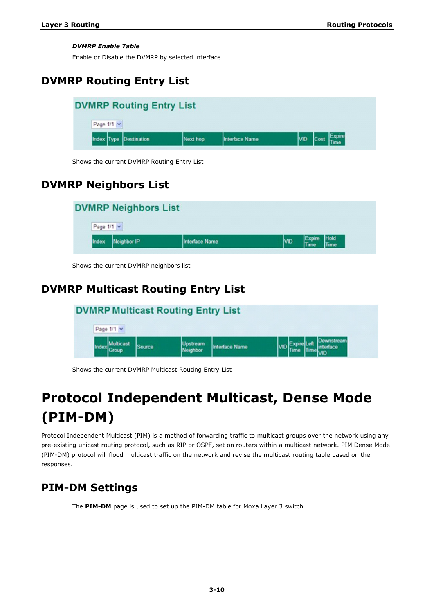### *DVMRP Enable Table*

Enable or Disable the DVMRP by selected interface.

## <span id="page-16-0"></span>**DVMRP Routing Entry List**

| <b>DVMRP Routing Entry List</b> |                        |          |                |            |        |  |  |
|---------------------------------|------------------------|----------|----------------|------------|--------|--|--|
| Page 1/1 v                      |                        |          |                |            |        |  |  |
|                                 | Index Type Destination | Next hop | Interface Name | <b>VID</b> | Expire |  |  |

Shows the current DVMRP Routing Entry List

## <span id="page-16-1"></span>**DVMRP Neighbors List**

| Page 1/1 v<br>Hold<br><b>ND</b><br>Index<br>Neighbor IP<br>Interface Name | <b>DVMRP Neighbors List</b> |  |                |             |
|---------------------------------------------------------------------------|-----------------------------|--|----------------|-------------|
|                                                                           |                             |  |                |             |
|                                                                           |                             |  | Expire<br>Time | <b>Time</b> |

Shows the current DVMRP neighbors list

## <span id="page-16-2"></span>**DVMRP Multicast Routing Entry List**

| <b>DVMRP Multicast Routing Entry List</b> |               |                             |                |  |  |  |          |  |
|-------------------------------------------|---------------|-----------------------------|----------------|--|--|--|----------|--|
| Page 1/1 Y                                |               |                             |                |  |  |  |          |  |
| <b>ulticast</b><br>iroup                  | <b>Source</b> | <b>Uostream</b><br>Neighbor | Interface Name |  |  |  | nterface |  |

Shows the current DVMRP Multicast Routing Entry List

# <span id="page-16-3"></span>**Protocol Independent Multicast, Dense Mode (PIM-DM)**

Protocol Independent Multicast (PIM) is a method of forwarding traffic to multicast groups over the network using any pre-existing unicast routing protocol, such as RIP or OSPF, set on routers within a multicast network. PIM Dense Mode (PIM-DM) protocol will flood multicast traffic on the network and revise the multicast routing table based on the responses.

## <span id="page-16-4"></span>**PIM-DM Settings**

The **PIM-DM** page is used to set up the PIM-DM table for Moxa Layer 3 switch.